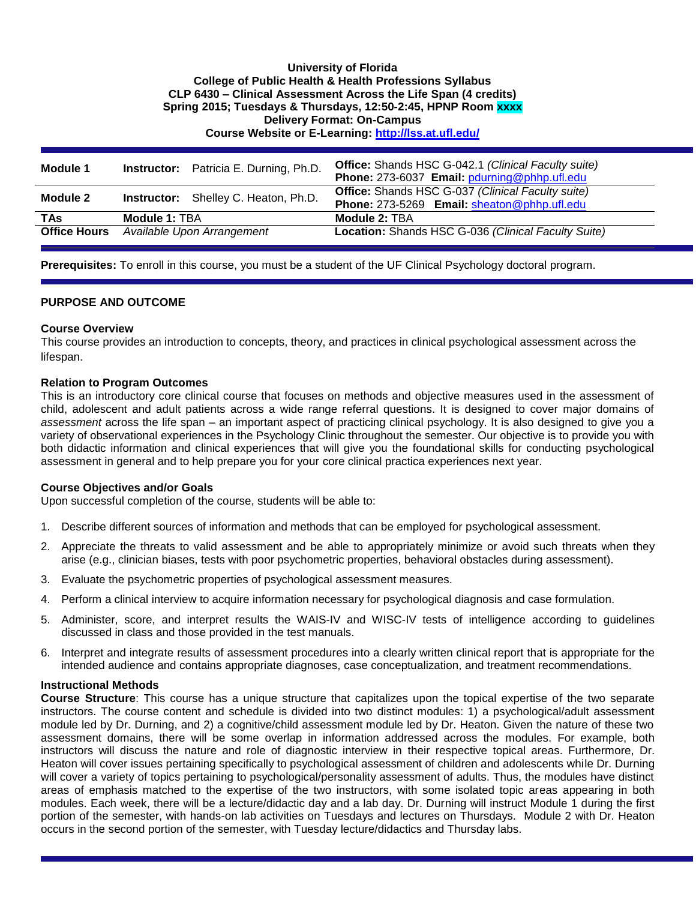## **University of Florida College of Public Health & Health Professions Syllabus CLP 6430 – Clinical Assessment Across the Life Span (4 credits) Spring 2015; Tuesdays & Thursdays, 12:50-2:45, HPNP Room xxxx Delivery Format: On-Campus Course Website or E-Learning:<http://lss.at.ufl.edu/>**

| Module 1            |                                             | <b>Instructor:</b> Patricia E. Durning, Ph.D. | <b>Office:</b> Shands HSC G-042.1 (Clinical Faculty suite)<br>Phone: 273-6037 Email: pdurning@phhp.ufl.edu |
|---------------------|---------------------------------------------|-----------------------------------------------|------------------------------------------------------------------------------------------------------------|
| Module 2            | <b>Instructor:</b> Shelley C. Heaton, Ph.D. |                                               | <b>Office:</b> Shands HSC G-037 (Clinical Faculty suite)<br>Phone: 273-5269 Email: sheaton@phhp.ufl.edu    |
| TAs.                | Module 1: TBA                               |                                               | Module 2: TBA                                                                                              |
| <b>Office Hours</b> |                                             | Available Upon Arrangement                    | Location: Shands HSC G-036 (Clinical Faculty Suite)                                                        |

**Prerequisites:** To enroll in this course, you must be a student of the UF Clinical Psychology doctoral program.

## **PURPOSE AND OUTCOME**

## **Course Overview**

This course provides an introduction to concepts, theory, and practices in clinical psychological assessment across the lifespan.

#### **Relation to Program Outcomes**

This is an introductory core clinical course that focuses on methods and objective measures used in the assessment of child, adolescent and adult patients across a wide range referral questions. It is designed to cover major domains of *assessment* across the life span – an important aspect of practicing clinical psychology. It is also designed to give you a variety of observational experiences in the Psychology Clinic throughout the semester. Our objective is to provide you with both didactic information and clinical experiences that will give you the foundational skills for conducting psychological assessment in general and to help prepare you for your core clinical practica experiences next year.

## **Course Objectives and/or Goals**

Upon successful completion of the course, students will be able to:

- 1. Describe different sources of information and methods that can be employed for psychological assessment.
- 2. Appreciate the threats to valid assessment and be able to appropriately minimize or avoid such threats when they arise (e.g., clinician biases, tests with poor psychometric properties, behavioral obstacles during assessment).
- 3. Evaluate the psychometric properties of psychological assessment measures.
- 4. Perform a clinical interview to acquire information necessary for psychological diagnosis and case formulation.
- 5. Administer, score, and interpret results the WAIS-IV and WISC-IV tests of intelligence according to guidelines discussed in class and those provided in the test manuals.
- 6. Interpret and integrate results of assessment procedures into a clearly written clinical report that is appropriate for the intended audience and contains appropriate diagnoses, case conceptualization, and treatment recommendations.

## **Instructional Methods**

**Course Structure**: This course has a unique structure that capitalizes upon the topical expertise of the two separate instructors. The course content and schedule is divided into two distinct modules: 1) a psychological/adult assessment module led by Dr. Durning, and 2) a cognitive/child assessment module led by Dr. Heaton. Given the nature of these two assessment domains, there will be some overlap in information addressed across the modules. For example, both instructors will discuss the nature and role of diagnostic interview in their respective topical areas. Furthermore, Dr. Heaton will cover issues pertaining specifically to psychological assessment of children and adolescents while Dr. Durning will cover a variety of topics pertaining to psychological/personality assessment of adults. Thus, the modules have distinct areas of emphasis matched to the expertise of the two instructors, with some isolated topic areas appearing in both modules. Each week, there will be a lecture/didactic day and a lab day. Dr. Durning will instruct Module 1 during the first portion of the semester, with hands-on lab activities on Tuesdays and lectures on Thursdays. Module 2 with Dr. Heaton occurs in the second portion of the semester, with Tuesday lecture/didactics and Thursday labs.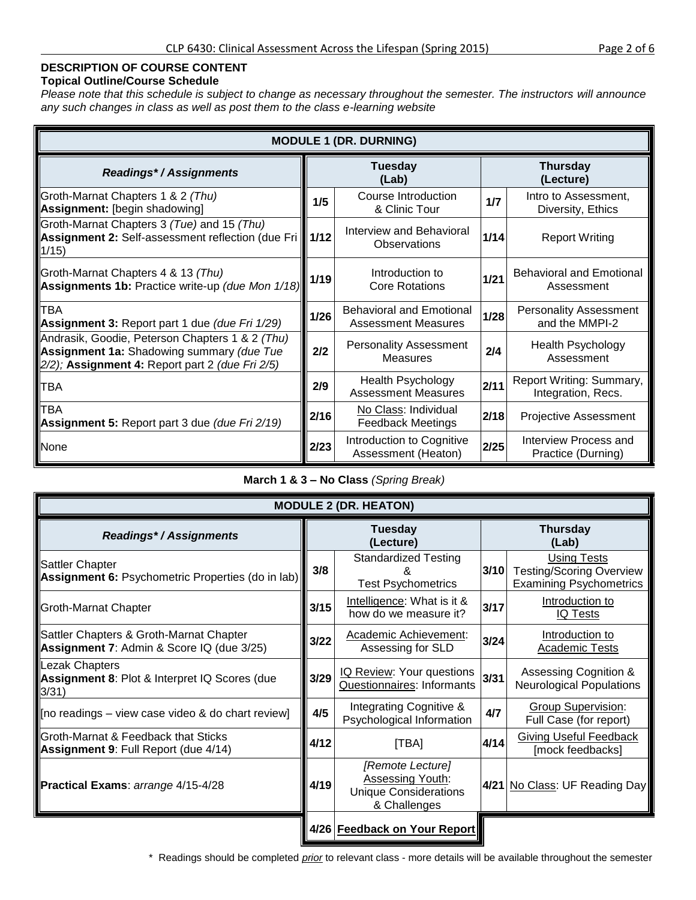## **DESCRIPTION OF COURSE CONTENT**

## **Topical Outline/Course Schedule**

*Please note that this schedule is subject to change as necessary throughout the semester. The instructors will announce any such changes in class as well as post them to the class e-learning website*

| <b>MODULE 1 (DR. DURNING)</b>                                                                                                                   |        |                                                               |                              |                                                 |  |  |  |  |  |  |  |  |
|-------------------------------------------------------------------------------------------------------------------------------------------------|--------|---------------------------------------------------------------|------------------------------|-------------------------------------------------|--|--|--|--|--|--|--|--|
| <b>Readings*/Assignments</b>                                                                                                                    |        | <b>Tuesday</b><br>(Lab)                                       | <b>Thursday</b><br>(Lecture) |                                                 |  |  |  |  |  |  |  |  |
| Groth-Marnat Chapters 1 & 2 (Thu)<br>Assignment: [begin shadowing]                                                                              | 1/5    | Course Introduction<br>& Clinic Tour                          | 1/7                          | Intro to Assessment,<br>Diversity, Ethics       |  |  |  |  |  |  |  |  |
| Groth-Marnat Chapters 3 (Tue) and 15 (Thu)<br>Assignment 2: Self-assessment reflection (due Fri 1/12<br>1/15)                                   |        | Interview and Behavioral<br><b>Observations</b>               | 1/14                         | <b>Report Writing</b>                           |  |  |  |  |  |  |  |  |
| Groth-Marnat Chapters 4 & 13 (Thu)<br>Assignments 1b: Practice write-up (due Mon 1/18)                                                          | $1/19$ | Introduction to<br><b>Core Rotations</b>                      | $1/21$                       | <b>Behavioral and Emotional</b><br>Assessment   |  |  |  |  |  |  |  |  |
| <b>TBA</b><br>Assignment 3: Report part 1 due (due Fri 1/29)                                                                                    | 1/26   | <b>Behavioral and Emotional</b><br><b>Assessment Measures</b> | 1/28                         | <b>Personality Assessment</b><br>and the MMPI-2 |  |  |  |  |  |  |  |  |
| Andrasik, Goodie, Peterson Chapters 1 & 2 (Thu)<br>Assignment 1a: Shadowing summary (due Tue<br>2/2); Assignment 4: Report part 2 (due Fri 2/5) | 2/2    | <b>Personality Assessment</b><br><b>Measures</b>              | 2/4                          | <b>Health Psychology</b><br>Assessment          |  |  |  |  |  |  |  |  |
| TBA                                                                                                                                             |        | <b>Health Psychology</b><br><b>Assessment Measures</b>        | 2/11                         | Report Writing: Summary,<br>Integration, Recs.  |  |  |  |  |  |  |  |  |
| TBA<br>Assignment 5: Report part 3 due (due Fri 2/19)                                                                                           | 2/16   | No Class: Individual<br><b>Feedback Meetings</b>              | 2/18                         | <b>Projective Assessment</b>                    |  |  |  |  |  |  |  |  |
| <b>None</b>                                                                                                                                     | 2/23   | Introduction to Cognitive<br>Assessment (Heaton)              | 2/25                         | Interview Process and<br>Practice (Durning)     |  |  |  |  |  |  |  |  |

## **March 1 & 3 – No Class** *(Spring Break)*

| <b>MODULE 2 (DR. HEATON)</b>                                                         |      |                                                                                             |                          |                                                                                         |  |  |  |  |  |  |  |
|--------------------------------------------------------------------------------------|------|---------------------------------------------------------------------------------------------|--------------------------|-----------------------------------------------------------------------------------------|--|--|--|--|--|--|--|
| <b>Readings*/Assignments</b>                                                         |      | Tuesday<br>(Lecture)                                                                        | <b>Thursday</b><br>(Lab) |                                                                                         |  |  |  |  |  |  |  |
| Sattler Chapter<br><b>Assignment 6: Psychometric Properties (do in lab)</b>          | 3/8  | <b>Standardized Testing</b><br><b>Test Psychometrics</b>                                    | 3/10                     | <b>Using Tests</b><br><b>Testing/Scoring Overview</b><br><b>Examining Psychometrics</b> |  |  |  |  |  |  |  |
| <b>Groth-Marnat Chapter</b>                                                          | 3/15 | Intelligence: What is it &<br>how do we measure it?                                         | 3/17                     | Introduction to<br><b>IQ Tests</b>                                                      |  |  |  |  |  |  |  |
| Sattler Chapters & Groth-Marnat Chapter<br>Assignment 7: Admin & Score IQ (due 3/25) | 3/22 | Academic Achievement:<br>Assessing for SLD                                                  | 3/24                     | Introduction to<br><b>Academic Tests</b>                                                |  |  |  |  |  |  |  |
| <b>Lezak Chapters</b><br>Assignment 8: Plot & Interpret IQ Scores (due<br>3/31)      | 3/29 | IQ Review: Your questions<br>Questionnaires: Informants                                     | 3/31                     | <b>Assessing Cognition &amp;</b><br><b>Neurological Populations</b>                     |  |  |  |  |  |  |  |
| [no readings – view case video & do chart review]                                    | 4/5  | Integrating Cognitive &<br>Psychological Information                                        | 4/7                      | Group Supervision:<br>Full Case (for report)                                            |  |  |  |  |  |  |  |
| Groth-Marnat & Feedback that Sticks<br>Assignment 9: Full Report (due 4/14)          | 4/12 | [TBA]                                                                                       | 4/14                     | <b>Giving Useful Feedback</b><br>[mock feedbacks]                                       |  |  |  |  |  |  |  |
| Practical Exams: arrange 4/15-4/28                                                   |      | [Remote Lecture]<br><b>Assessing Youth:</b><br><b>Unique Considerations</b><br>& Challenges |                          | 4/21 No Class: UF Reading Day                                                           |  |  |  |  |  |  |  |
|                                                                                      |      | 4/26 Feedback on Your Report                                                                |                          |                                                                                         |  |  |  |  |  |  |  |

\* Readings should be completed *prior* to relevant class - more details will be available throughout the semester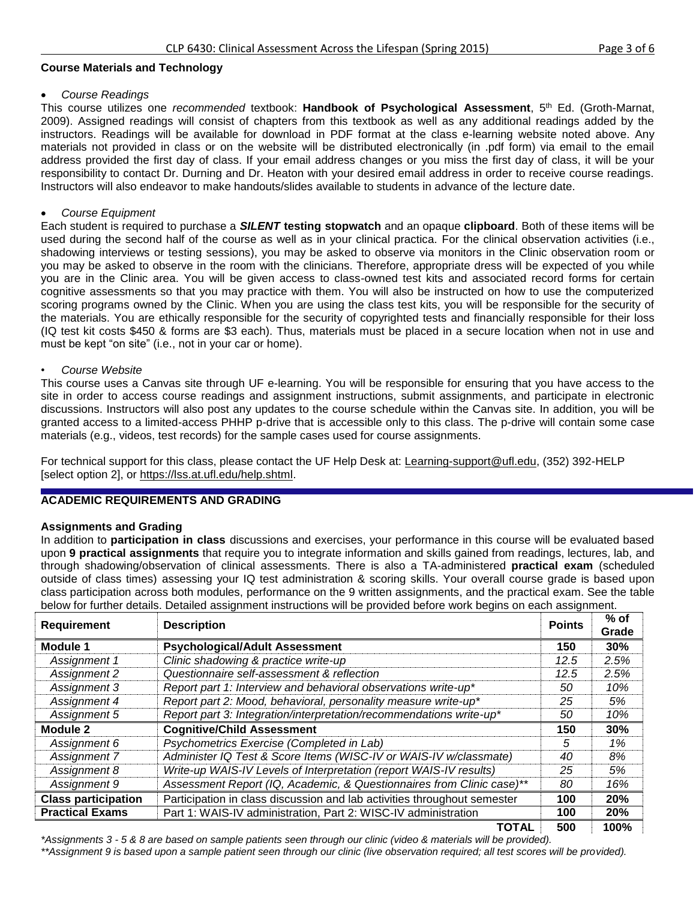#### **Course Materials and Technology**

#### *Course Readings*

This course utilizes one *recommended* textbook: **Handbook of Psychological Assessment**, 5th Ed. (Groth-Marnat, 2009). Assigned readings will consist of chapters from this textbook as well as any additional readings added by the instructors. Readings will be available for download in PDF format at the class e-learning website noted above. Any materials not provided in class or on the website will be distributed electronically (in .pdf form) via email to the email address provided the first day of class. If your email address changes or you miss the first day of class, it will be your responsibility to contact Dr. Durning and Dr. Heaton with your desired email address in order to receive course readings. Instructors will also endeavor to make handouts/slides available to students in advance of the lecture date.

## *Course Equipment*

Each student is required to purchase a *SILENT* **testing stopwatch** and an opaque **clipboard**. Both of these items will be used during the second half of the course as well as in your clinical practica. For the clinical observation activities (i.e., shadowing interviews or testing sessions), you may be asked to observe via monitors in the Clinic observation room or you may be asked to observe in the room with the clinicians. Therefore, appropriate dress will be expected of you while you are in the Clinic area. You will be given access to class-owned test kits and associated record forms for certain cognitive assessments so that you may practice with them. You will also be instructed on how to use the computerized scoring programs owned by the Clinic. When you are using the class test kits, you will be responsible for the security of the materials. You are ethically responsible for the security of copyrighted tests and financially responsible for their loss (IQ test kit costs \$450 & forms are \$3 each). Thus, materials must be placed in a secure location when not in use and must be kept "on site" (i.e., not in your car or home).

#### • *Course Website*

This course uses a Canvas site through UF e-learning. You will be responsible for ensuring that you have access to the site in order to access course readings and assignment instructions, submit assignments, and participate in electronic discussions. Instructors will also post any updates to the course schedule within the Canvas site. In addition, you will be granted access to a limited-access PHHP p-drive that is accessible only to this class. The p-drive will contain some case materials (e.g., videos, test records) for the sample cases used for course assignments.

For technical support for this class, please contact the UF Help Desk at: [Learning-support@ufl.edu,](file:///C:/Users/hackg/Desktop/Learning-support@ufl.edu) (352) 392-HELP [select option 2], or [https://lss.at.ufl.edu/help.shtml.](https://lss.at.ufl.edu/help.shtml)

## **ACADEMIC REQUIREMENTS AND GRADING**

## **Assignments and Grading**

In addition to **participation in class** discussions and exercises, your performance in this course will be evaluated based upon **9 practical assignments** that require you to integrate information and skills gained from readings, lectures, lab, and through shadowing/observation of clinical assessments. There is also a TA-administered **practical exam** (scheduled outside of class times) assessing your IQ test administration & scoring skills. Your overall course grade is based upon class participation across both modules, performance on the 9 written assignments, and the practical exam. See the table below for further details. Detailed assignment instructions will be provided before work begins on each assignment.

| <b>Requirement</b>                                                                                     | <b>Description</b>                                                    | <b>Points</b> | $%$ of     |
|--------------------------------------------------------------------------------------------------------|-----------------------------------------------------------------------|---------------|------------|
|                                                                                                        |                                                                       |               | Grade      |
| <b>Module 1</b>                                                                                        | <b>Psychological/Adult Assessment</b>                                 | 150           | 30%        |
| Assignment 1                                                                                           | Clinic shadowing & practice write-up                                  | 12.5          | 2.5%       |
| Assignment 2                                                                                           | Questionnaire self-assessment & reflection                            | 12.5          | 2.5%       |
| Assignment 3                                                                                           | Report part 1: Interview and behavioral observations write-up*        | 50            | 10%        |
| Assignment 4                                                                                           | Report part 2: Mood, behavioral, personality measure write-up*        | 25            | 5%         |
| Report part 3: Integration/interpretation/recommendations write-up*<br>Assignment 5                    |                                                                       | 50            | 10%        |
| Module 2                                                                                               | <b>Cognitive/Child Assessment</b>                                     | 150           | 30%        |
| Assignment 6                                                                                           | Psychometrics Exercise (Completed in Lab)                             | 5             | 1%         |
| Assignment 7                                                                                           | Administer IQ Test & Score Items (WISC-IV or WAIS-IV w/classmate)     | 40            | 8%         |
| Assignment 8                                                                                           | Write-up WAIS-IV Levels of Interpretation (report WAIS-IV results)    | 25            | 5%         |
| Assignment 9                                                                                           | Assessment Report (IQ, Academic, & Questionnaires from Clinic case)** | 80            | 16%        |
| Participation in class discussion and lab activities throughout semester<br><b>Class participation</b> |                                                                       | 100           | 20%        |
| <b>Practical Exams</b>                                                                                 | Part 1: WAIS-IV administration, Part 2: WISC-IV administration        | 100           | <b>20%</b> |
|                                                                                                        | <b>TOTAL</b>                                                          | 500           | 100%       |

*\*Assignments 3 - 5 & 8 are based on sample patients seen through our clinic (video & materials will be provided). \*\*Assignment 9 is based upon a sample patient seen through our clinic (live observation required; all test scores will be provided).*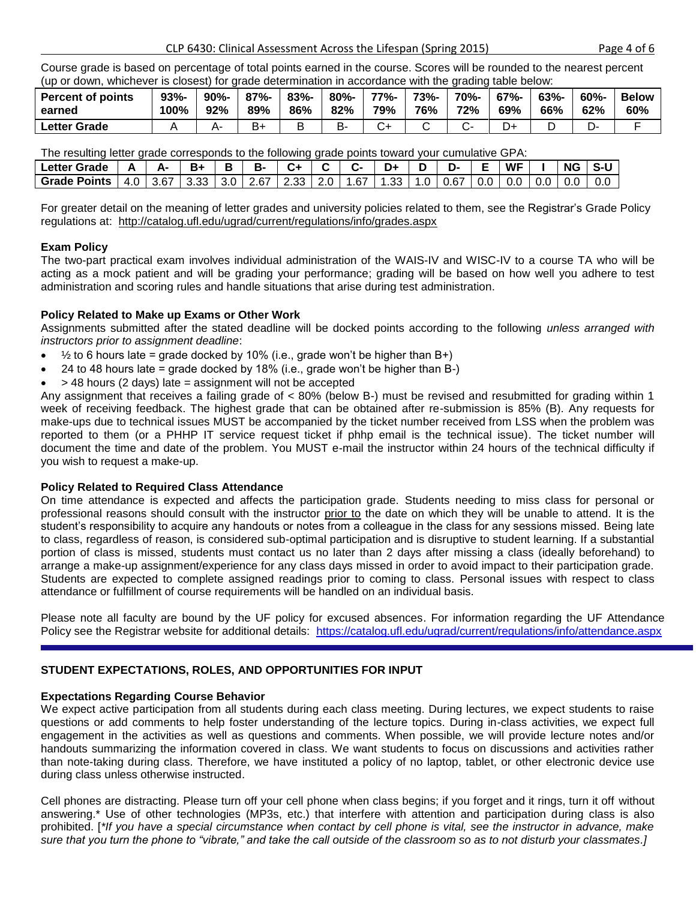Course grade is based on percentage of total points earned in the course. Scores will be rounded to the nearest percent (up or down, whichever is closest) for grade determination in accordance with the grading table below:

| <b>Percent of points</b> | $93% -$ | $90% -$ | $87% -$ | $83% -$ | $80% -$ | $77% -$ | <b>73%-</b> | 70%- | $67% -$ | $63% -$ | $60% -$ | <b>Below</b> |
|--------------------------|---------|---------|---------|---------|---------|---------|-------------|------|---------|---------|---------|--------------|
| earned                   | 100%    | 92%     | 89%     | 86%     | 82%     | 79%     | 76%         | 72%  | 69%     | 66%     | 62%     | 60%          |
| Letter Grade             |         |         | B۰      |         | B-      |         |             |      |         |         |         |              |

The resulting letter grade corresponds to the following grade points toward your cumulative GPA:

| <b>Letter Grade</b> |       | м-   | - B+   | в | в-                              |  |                | D+   | ъ.            |               | <b>WF</b> |     | <b>NG</b> |     |
|---------------------|-------|------|--------|---|---------------------------------|--|----------------|------|---------------|---------------|-----------|-----|-----------|-----|
| <b>Grade Points</b> | 4.0 I | 3.67 | 3.33 I |   | $\vert$ 3.0   2.67   2.33   2.0 |  | $1.67 \square$ | 1.33 | $.0 \pm 0.67$ | $0.0^{\circ}$ |           | 0.0 | 0.0       | 0.0 |

For greater detail on the meaning of letter grades and university policies related to them, see the Registrar's Grade Policy regulations at: <http://catalog.ufl.edu/ugrad/current/regulations/info/grades.aspx>

## **Exam Policy**

The two-part practical exam involves individual administration of the WAIS-IV and WISC-IV to a course TA who will be acting as a mock patient and will be grading your performance; grading will be based on how well you adhere to test administration and scoring rules and handle situations that arise during test administration.

# **Policy Related to Make up Exams or Other Work**

Assignments submitted after the stated deadline will be docked points according to the following *unless arranged with instructors prior to assignment deadline*:

- $\bullet$   $\frac{1}{2}$  to 6 hours late = grade docked by 10% (i.e., grade won't be higher than B+)
- 24 to 48 hours late = grade docked by 18% (i.e., grade won't be higher than B-)
- > 48 hours (2 days) late = assignment will not be accepted

Any assignment that receives a failing grade of < 80% (below B-) must be revised and resubmitted for grading within 1 week of receiving feedback. The highest grade that can be obtained after re-submission is 85% (B). Any requests for make-ups due to technical issues MUST be accompanied by the ticket number received from LSS when the problem was reported to them (or a PHHP IT service request ticket if phhp email is the technical issue). The ticket number will document the time and date of the problem. You MUST e-mail the instructor within 24 hours of the technical difficulty if you wish to request a make-up.

## **Policy Related to Required Class Attendance**

On time attendance is expected and affects the participation grade. Students needing to miss class for personal or professional reasons should consult with the instructor prior to the date on which they will be unable to attend. It is the student's responsibility to acquire any handouts or notes from a colleague in the class for any sessions missed. Being late to class, regardless of reason, is considered sub-optimal participation and is disruptive to student learning. If a substantial portion of class is missed, students must contact us no later than 2 days after missing a class (ideally beforehand) to arrange a make-up assignment/experience for any class days missed in order to avoid impact to their participation grade. Students are expected to complete assigned readings prior to coming to class. Personal issues with respect to class attendance or fulfillment of course requirements will be handled on an individual basis.

Please note all faculty are bound by the UF policy for excused absences. For information regarding the UF Attendance Policy see the Registrar website for additional details: <https://catalog.ufl.edu/ugrad/current/regulations/info/attendance.aspx>

## **STUDENT EXPECTATIONS, ROLES, AND OPPORTUNITIES FOR INPUT**

## **Expectations Regarding Course Behavior**

We expect active participation from all students during each class meeting. During lectures, we expect students to raise questions or add comments to help foster understanding of the lecture topics. During in-class activities, we expect full engagement in the activities as well as questions and comments. When possible, we will provide lecture notes and/or handouts summarizing the information covered in class. We want students to focus on discussions and activities rather than note-taking during class. Therefore, we have instituted a policy of no laptop, tablet, or other electronic device use during class unless otherwise instructed.

Cell phones are distracting. Please turn off your cell phone when class begins; if you forget and it rings, turn it off without answering.\* Use of other technologies (MP3s, etc.) that interfere with attention and participation during class is also prohibited. [*\*If you have a special circumstance when contact by cell phone is vital, see the instructor in advance, make sure that you turn the phone to "vibrate," and take the call outside of the classroom so as to not disturb your classmates.]*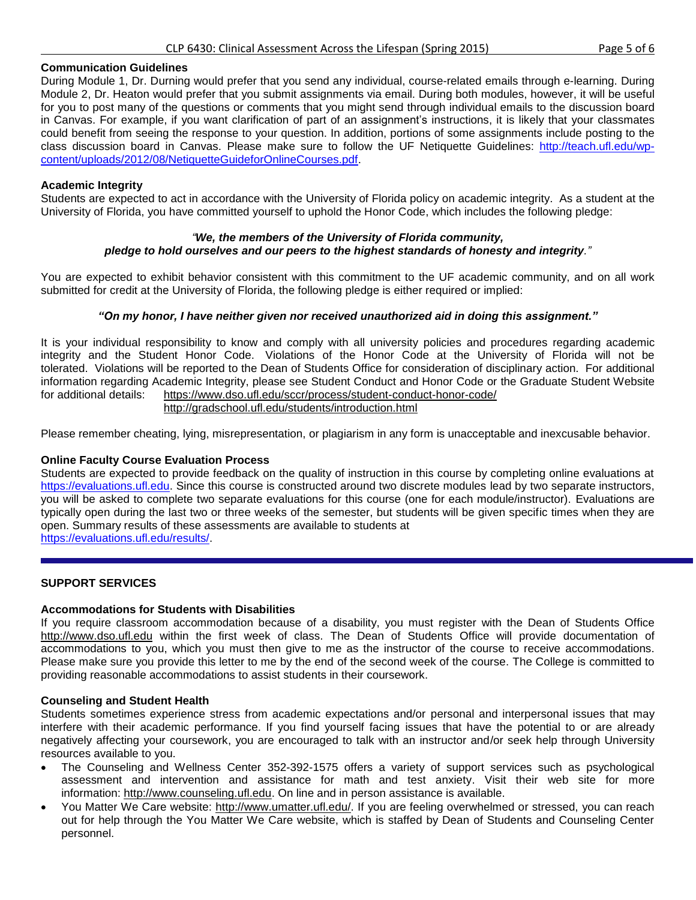#### **Communication Guidelines**

During Module 1, Dr. Durning would prefer that you send any individual, course-related emails through e-learning. During Module 2, Dr. Heaton would prefer that you submit assignments via email. During both modules, however, it will be useful for you to post many of the questions or comments that you might send through individual emails to the discussion board in Canvas. For example, if you want clarification of part of an assignment's instructions, it is likely that your classmates could benefit from seeing the response to your question. In addition, portions of some assignments include posting to the class discussion board in Canvas. Please make sure to follow the UF Netiquette Guidelines: [http://teach.ufl.edu/wp](http://teach.ufl.edu/wp-content/uploads/2012/08/NetiquetteGuideforOnlineCourses.pdf)[content/uploads/2012/08/NetiquetteGuideforOnlineCourses.pdf.](http://teach.ufl.edu/wp-content/uploads/2012/08/NetiquetteGuideforOnlineCourses.pdf)

## **Academic Integrity**

Students are expected to act in accordance with the University of Florida policy on academic integrity. As a student at the University of Florida, you have committed yourself to uphold the Honor Code, which includes the following pledge:

## *"We, the members of the University of Florida community, pledge to hold ourselves and our peers to the highest standards of honesty and integrity."*

You are expected to exhibit behavior consistent with this commitment to the UF academic community, and on all work submitted for credit at the University of Florida, the following pledge is either required or implied:

#### *"On my honor, I have neither given nor received unauthorized aid in doing this assignment."*

It is your individual responsibility to know and comply with all university policies and procedures regarding academic integrity and the Student Honor Code. Violations of the Honor Code at the University of Florida will not be tolerated. Violations will be reported to the Dean of Students Office for consideration of disciplinary action. For additional information regarding Academic Integrity, please see Student Conduct and Honor Code or the Graduate Student Website for additional details: <https://www.dso.ufl.edu/sccr/process/student-conduct-honor-code/> <http://gradschool.ufl.edu/students/introduction.html>

Please remember cheating, lying, misrepresentation, or plagiarism in any form is unacceptable and inexcusable behavior.

## **Online Faculty Course Evaluation Process**

Students are expected to provide feedback on the quality of instruction in this course by completing online evaluations at [https://evaluations.ufl.edu.](https://evaluations.ufl.edu/) Since this course is constructed around two discrete modules lead by two separate instructors, you will be asked to complete two separate evaluations for this course (one for each module/instructor). Evaluations are typically open during the last two or three weeks of the semester, but students will be given specific times when they are open. Summary results of these assessments are available to students at [https://evaluations.ufl.edu/results/.](https://evaluations.ufl.edu/results/)

## **SUPPORT SERVICES**

## **Accommodations for Students with Disabilities**

If you require classroom accommodation because of a disability, you must register with the Dean of Students Office [http://www.dso.ufl.edu](http://www.dso.ufl.edu/) within the first week of class. The Dean of Students Office will provide documentation of accommodations to you, which you must then give to me as the instructor of the course to receive accommodations. Please make sure you provide this letter to me by the end of the second week of the course. The College is committed to providing reasonable accommodations to assist students in their coursework.

#### **Counseling and Student Health**

Students sometimes experience stress from academic expectations and/or personal and interpersonal issues that may interfere with their academic performance. If you find yourself facing issues that have the potential to or are already negatively affecting your coursework, you are encouraged to talk with an instructor and/or seek help through University resources available to you.

- The Counseling and Wellness Center 352-392-1575 offers a variety of support services such as psychological assessment and intervention and assistance for math and test anxiety. Visit their web site for more information: [http://www.counseling.ufl.edu.](http://www.counseling.ufl.edu/) On line and in person assistance is available.
- You Matter We Care website: [http://www.umatter.ufl.edu/.](http://www.umatter.ufl.edu/) If you are feeling overwhelmed or stressed, you can reach out for help through the You Matter We Care website, which is staffed by Dean of Students and Counseling Center personnel.